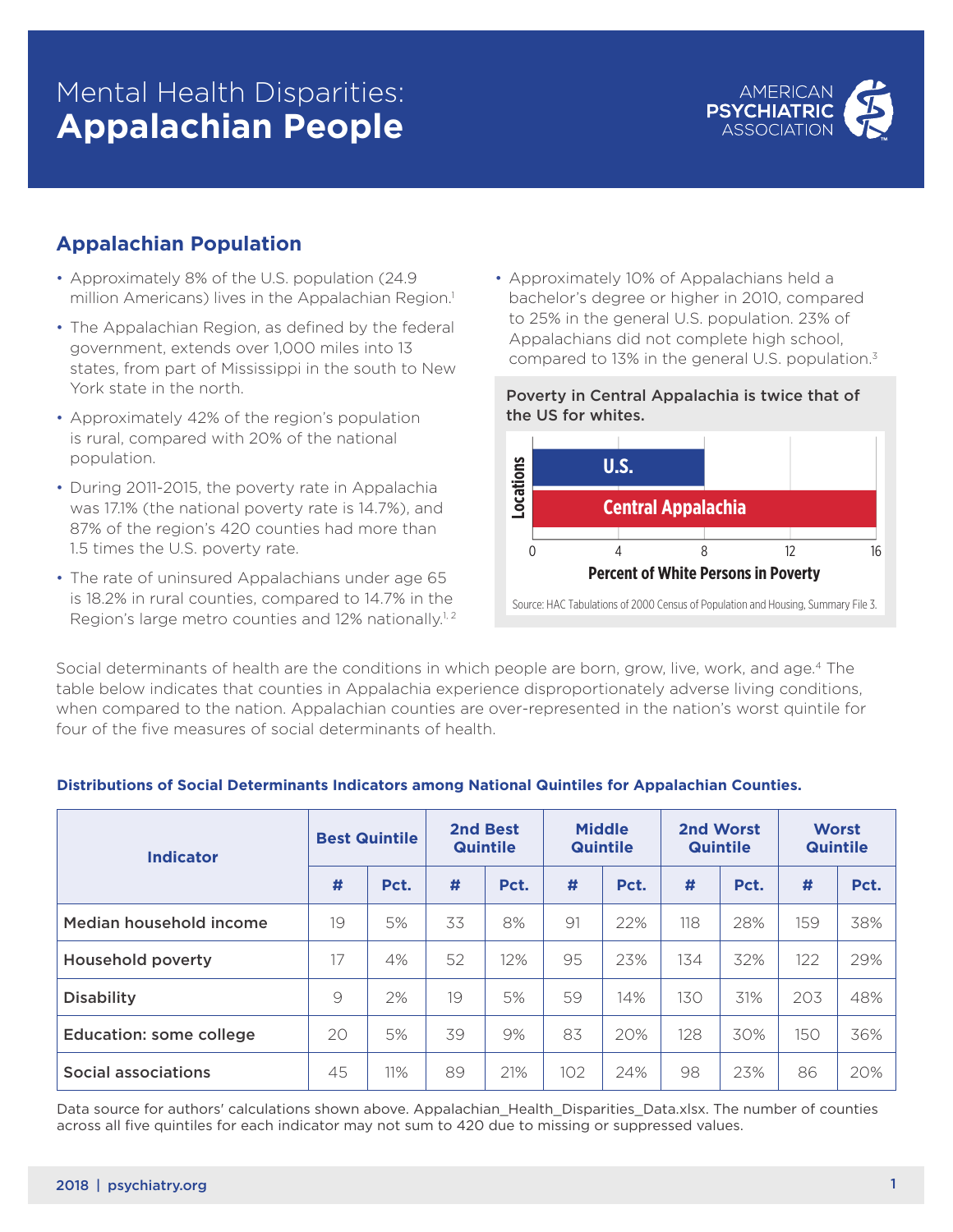# Mental Health Disparities: **Appalachian People**



### **Appalachian Population**

- Approximately 8% of the U.S. population (24.9) million Americans) lives in the Appalachian Region.<sup>1</sup>
- The Appalachian Region, as defined by the federal government, extends over 1,000 miles into 13 states, from part of Mississippi in the south to New York state in the north.
- Approximately 42% of the region's population is rural, compared with 20% of the national population.
- During 2011-2015, the poverty rate in Appalachia was 17.1% (the national poverty rate is 14.7%), and 87% of the region's 420 counties had more than 1.5 times the U.S. poverty rate.
- The rate of uninsured Appalachians under age 65 is 18.2% in rural counties, compared to 14.7% in the Region's large metro counties and 12% nationally.<sup>1,2</sup>

• Approximately 10% of Appalachians held a bachelor's degree or higher in 2010, compared to 25% in the general U.S. population. 23% of Appalachians did not complete high school, compared to 13% in the general U.S. population.3





Social determinants of health are the conditions in which people are born, grow, live, work, and age.4 The table below indicates that counties in Appalachia experience disproportionately adverse living conditions, when compared to the nation. Appalachian counties are over-represented in the nation's worst quintile for four of the five measures of social determinants of health.

| <b>Indicator</b>               | <b>Best Quintile</b> |      | 2nd Best<br><b>Quintile</b> |      | <b>Middle</b><br><b>Quintile</b> |      | 2nd Worst<br><b>Quintile</b> |      | <b>Worst</b><br><b>Quintile</b> |      |
|--------------------------------|----------------------|------|-----------------------------|------|----------------------------------|------|------------------------------|------|---------------------------------|------|
|                                | #                    | Pct. | #                           | Pct. | #                                | Pct. | #                            | Pct. | #                               | Pct. |
| Median household income        | 19                   | 5%   | 33                          | 8%   | 91                               | 22%  | 118                          | 28%  | 159                             | 38%  |
| <b>Household poverty</b>       | 17                   | 4%   | 52                          | 12%  | 95                               | 23%  | 134                          | 32%  | 122                             | 29%  |
| <b>Disability</b>              | 9                    | 2%   | 19                          | 5%   | 59                               | 14%  | 130                          | 31%  | 203                             | 48%  |
| <b>Education: some college</b> | 20                   | 5%   | 39                          | 9%   | 83                               | 20%  | 128                          | 30%  | 150                             | 36%  |
| <b>Social associations</b>     | 45                   | 11%  | 89                          | 21%  | 102                              | 24%  | 98                           | 23%  | 86                              | 20%  |

#### **Distributions of Social Determinants Indicators among National Quintiles for Appalachian Counties.**

Data source for authors' calculations shown above. Appalachian\_Health\_Disparities\_Data.xlsx. The number of counties across all five quintiles for each indicator may not sum to 420 due to missing or suppressed values.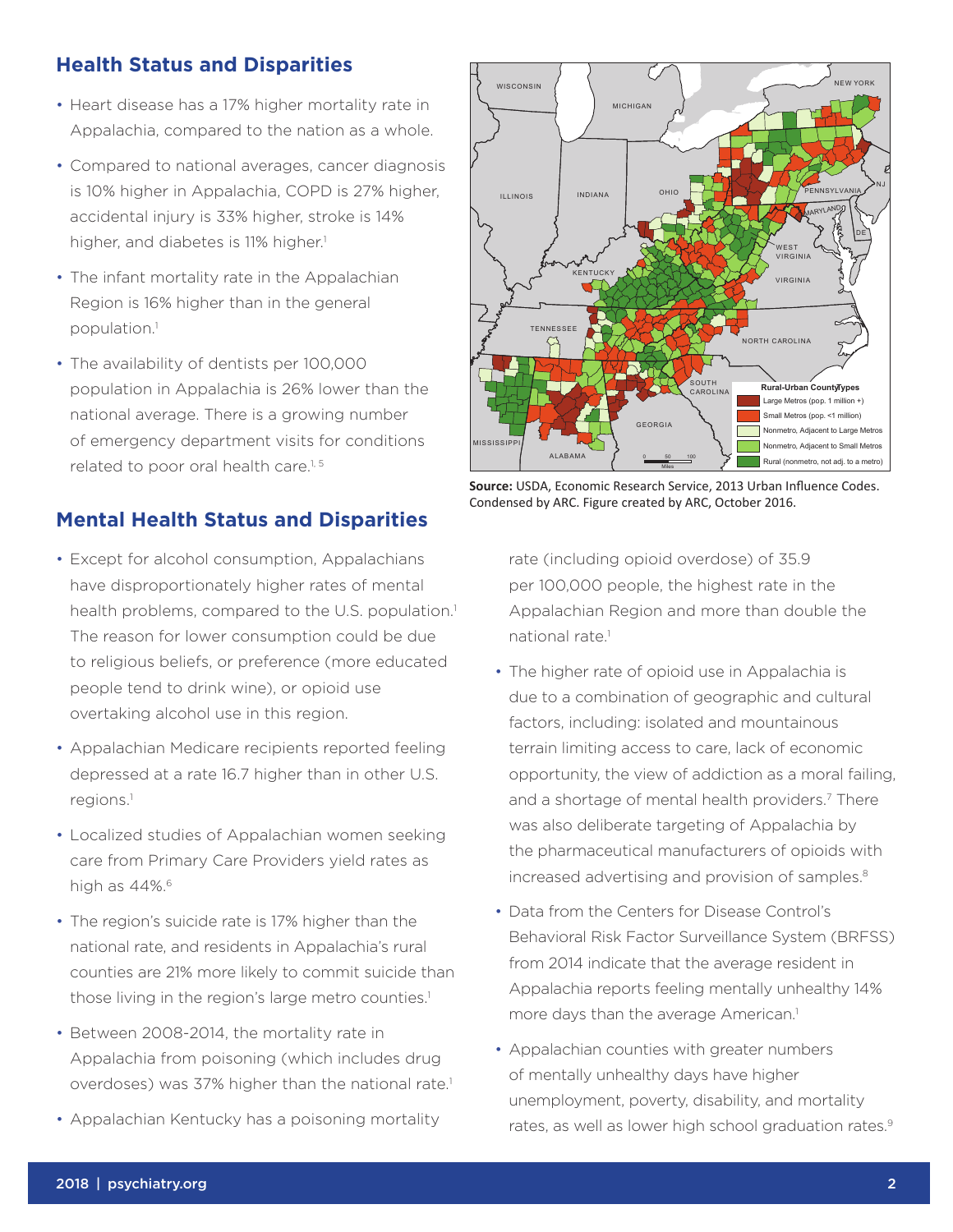### **Health Status and Disparities**

- Heart disease has a 17% higher mortality rate in Appalachia, compared to the nation as a whole.
- Compared to national averages, cancer diagnosis is 10% higher in Appalachia, COPD is 27% higher, accidental injury is 33% higher, stroke is 14% higher, and diabetes is 11% higher.<sup>1</sup>
- The infant mortality rate in the Appalachian Region is 16% higher than in the general population.1
- The availability of dentists per 100,000 population in Appalachia is 26% lower than the national average. There is a growing number of emergency department visits for conditions related to poor oral health care.<sup>1, 5</sup>

### **Mental Health Status and Disparities**

- Except for alcohol consumption, Appalachians have disproportionately higher rates of mental health problems, compared to the U.S. population.<sup>1</sup> The reason for lower consumption could be due to religious beliefs, or preference (more educated people tend to drink wine), or opioid use overtaking alcohol use in this region.
- Appalachian Medicare recipients reported feeling depressed at a rate 16.7 higher than in other U.S. regions.1
- Localized studies of Appalachian women seeking care from Primary Care Providers yield rates as high as 44%.<sup>6</sup>
- The region's suicide rate is 17% higher than the national rate, and residents in Appalachia's rural counties are 21% more likely to commit suicide than those living in the region's large metro counties.<sup>1</sup>
- Between 2008-2014, the mortality rate in Appalachia from poisoning (which includes drug overdoses) was 37% higher than the national rate.<sup>1</sup>
- Appalachian Kentucky has a poisoning mortality



**Source:** USDA, Economic Research Service, 2013 Urban Influence Codes. Condensed by ARC. Figure created by ARC, October 2016.

rate (including opioid overdose) of 35.9 per 100,000 people, the highest rate in the Appalachian Region and more than double the national rate<sup>1</sup>

- The higher rate of opioid use in Appalachia is due to a combination of geographic and cultural factors, including: isolated and mountainous terrain limiting access to care, lack of economic opportunity, the view of addiction as a moral failing, and a shortage of mental health providers.<sup>7</sup> There was also deliberate targeting of Appalachia by the pharmaceutical manufacturers of opioids with increased advertising and provision of samples.<sup>8</sup>
- Data from the Centers for Disease Control's Behavioral Risk Factor Surveillance System (BRFSS) from 2014 indicate that the average resident in Appalachia reports feeling mentally unhealthy 14% more days than the average American.<sup>1</sup>
- Appalachian counties with greater numbers of mentally unhealthy days have higher unemployment, poverty, disability, and mortality rates, as well as lower high school graduation rates.<sup>9</sup>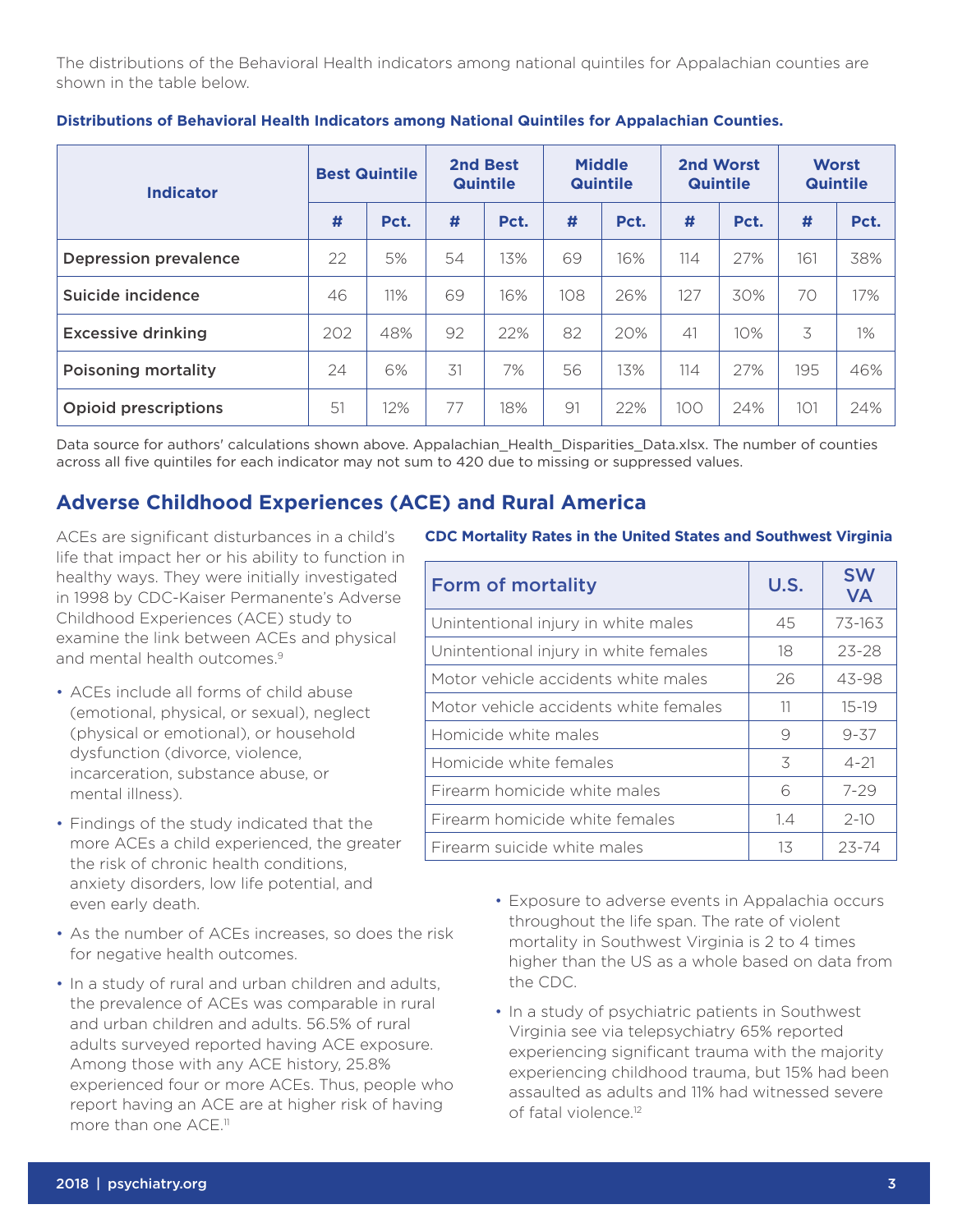The distributions of the Behavioral Health indicators among national quintiles for Appalachian counties are shown in the table below.

| <b>Indicator</b>             | <b>Best Quintile</b> |      | 2nd Best<br><b>Quintile</b> |      | <b>Middle</b><br><b>Quintile</b> |      | 2nd Worst<br><b>Quintile</b> |      | <b>Worst</b><br><b>Quintile</b> |       |
|------------------------------|----------------------|------|-----------------------------|------|----------------------------------|------|------------------------------|------|---------------------------------|-------|
|                              | #                    | Pct. | #                           | Pct. | #                                | Pct. | #                            | Pct. | #                               | Pct.  |
| <b>Depression prevalence</b> | 22                   | 5%   | 54                          | 13%  | 69                               | 16%  | 114                          | 27%  | 161                             | 38%   |
| Suicide incidence            | 46                   | 11%  | 69                          | 16%  | 108                              | 26%  | 127                          | 30%  | 70                              | 17%   |
| <b>Excessive drinking</b>    | 202                  | 48%  | 92                          | 22%  | 82                               | 20%  | 41                           | 10%  | 3                               | $1\%$ |
| <b>Poisoning mortality</b>   | 24                   | 6%   | 31                          | 7%   | 56                               | 13%  | 114                          | 27%  | 195                             | 46%   |
| <b>Opioid prescriptions</b>  | 51                   | 12%  | 77                          | 18%  | 91                               | 22%  | 100                          | 24%  | 101                             | 24%   |

**Distributions of Behavioral Health Indicators among National Quintiles for Appalachian Counties.**

Data source for authors' calculations shown above. Appalachian\_Health\_Disparities\_Data.xlsx. The number of counties across all five quintiles for each indicator may not sum to 420 due to missing or suppressed values.

### **Adverse Childhood Experiences (ACE) and Rural America**

ACEs are significant disturbances in a child's life that impact her or his ability to function in healthy ways. They were initially investigated in 1998 by CDC-Kaiser Permanente's Adverse Childhood Experiences (ACE) study to examine the link between ACEs and physical and mental health outcomes.9

- ACEs include all forms of child abuse (emotional, physical, or sexual), neglect (physical or emotional), or household dysfunction (divorce, violence, incarceration, substance abuse, or mental illness).
- Findings of the study indicated that the more ACEs a child experienced, the greater the risk of chronic health conditions, anxiety disorders, low life potential, and even early death.
- As the number of ACEs increases, so does the risk for negative health outcomes.
- In a study of rural and urban children and adults, the prevalence of ACEs was comparable in rural and urban children and adults. 56.5% of rural adults surveyed reported having ACE exposure. Among those with any ACE history, 25.8% experienced four or more ACEs. Thus, people who report having an ACE are at higher risk of having more than one ACE.<sup>11</sup>

#### **CDC Mortality Rates in the United States and Southwest Virginia**

| <b>Form of mortality</b>              | U.S. | <b>SW</b><br><b>VA</b> |  |
|---------------------------------------|------|------------------------|--|
| Unintentional injury in white males   | 45   | 73-163                 |  |
| Unintentional injury in white females | 18   | $23 - 28$              |  |
| Motor vehicle accidents white males   | 26   | 43-98                  |  |
| Motor vehicle accidents white females | 11   | $15 - 19$              |  |
| Homicide white males                  | 9    | $9 - 37$               |  |
| Homicide white females                | 3    | $4 - 21$               |  |
| Firearm homicide white males          | 6    | $7 - 29$               |  |
| Firearm homicide white females        | 1.4  | $2-10$                 |  |
| Firearm suicide white males           | 13   | 23-74                  |  |

- Exposure to adverse events in Appalachia occurs throughout the life span. The rate of violent mortality in Southwest Virginia is 2 to 4 times higher than the US as a whole based on data from the CDC.
- In a study of psychiatric patients in Southwest Virginia see via telepsychiatry 65% reported experiencing significant trauma with the majority experiencing childhood trauma, but 15% had been assaulted as adults and 11% had witnessed severe of fatal violence.12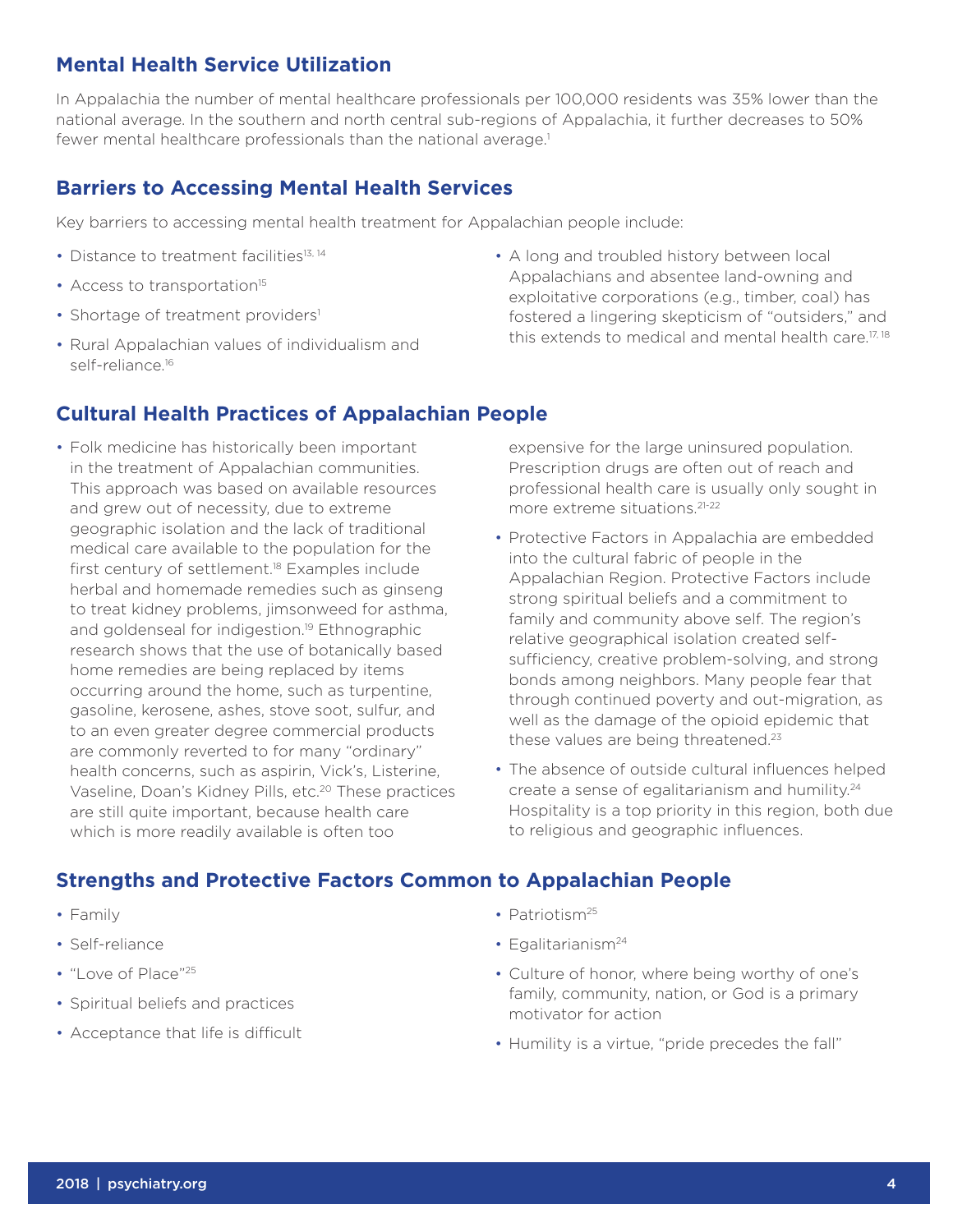## **Mental Health Service Utilization**

In Appalachia the number of mental healthcare professionals per 100,000 residents was 35% lower than the national average. In the southern and north central sub-regions of Appalachia, it further decreases to 50% fewer mental healthcare professionals than the national average.<sup>1</sup>

### **Barriers to Accessing Mental Health Services**

Key barriers to accessing mental health treatment for Appalachian people include:

- Distance to treatment facilities<sup>13, 14</sup>
- Access to transportation<sup>15</sup>
- Shortage of treatment providers<sup>1</sup>
- Rural Appalachian values of individualism and self-reliance.<sup>16</sup>

### **Cultural Health Practices of Appalachian People**

- Folk medicine has historically been important in the treatment of Appalachian communities. This approach was based on available resources and grew out of necessity, due to extreme geographic isolation and the lack of traditional medical care available to the population for the first century of settlement.<sup>18</sup> Examples include herbal and homemade remedies such as ginseng to treat kidney problems, jimsonweed for asthma, and goldenseal for indigestion.<sup>19</sup> Ethnographic research shows that the use of botanically based home remedies are being replaced by items occurring around the home, such as turpentine, gasoline, kerosene, ashes, stove soot, sulfur, and to an even greater degree commercial products are commonly reverted to for many "ordinary" health concerns, such as aspirin, Vick's, Listerine, Vaseline, Doan's Kidney Pills, etc.<sup>20</sup> These practices are still quite important, because health care which is more readily available is often too
- A long and troubled history between local Appalachians and absentee land-owning and exploitative corporations (e.g., timber, coal) has fostered a lingering skepticism of "outsiders," and this extends to medical and mental health care.<sup>17, 18</sup>

expensive for the large uninsured population. Prescription drugs are often out of reach and professional health care is usually only sought in more extreme situations.21-22

- Protective Factors in Appalachia are embedded into the cultural fabric of people in the Appalachian Region. Protective Factors include strong spiritual beliefs and a commitment to family and community above self. The region's relative geographical isolation created selfsufficiency, creative problem-solving, and strong bonds among neighbors. Many people fear that through continued poverty and out-migration, as well as the damage of the opioid epidemic that these values are being threatened.<sup>23</sup>
- The absence of outside cultural influences helped create a sense of egalitarianism and humility.24 Hospitality is a top priority in this region, both due to religious and geographic influences.

### **Strengths and Protective Factors Common to Appalachian People**

- Family
- Self-reliance
- "Love of Place"<sup>25</sup>
- Spiritual beliefs and practices
- Acceptance that life is difficult
- Patriotism<sup>25</sup>
- $\cdot$  Egalitarianism<sup>24</sup>
- Culture of honor, where being worthy of one's family, community, nation, or God is a primary motivator for action
- Humility is a virtue, "pride precedes the fall"